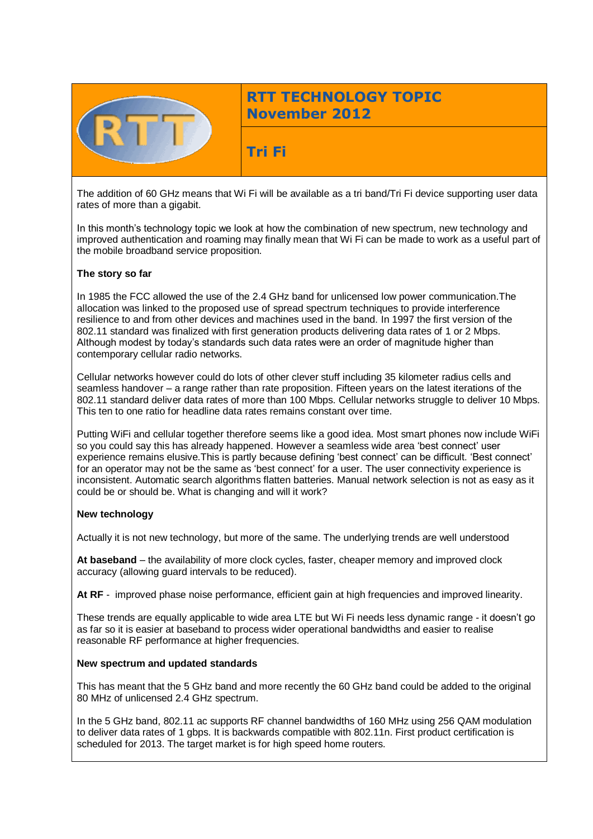

# **RTT TECHNOLOGY TOPIC November 2012**

**Tri Fi**

The addition of 60 GHz means that Wi Fi will be available as a tri band/Tri Fi device supporting user data rates of more than a gigabit.

In this month's technology topic we look at how the combination of new spectrum, new technology and improved authentication and roaming may finally mean that Wi Fi can be made to work as a useful part of the mobile broadband service proposition.

### **The story so far**

In 1985 the FCC allowed the use of the 2.4 GHz band for unlicensed low power communication.The allocation was linked to the proposed use of spread spectrum techniques to provide interference resilience to and from other devices and machines used in the band. In 1997 the first version of the 802.11 standard was finalized with first generation products delivering data rates of 1 or 2 Mbps. Although modest by today's standards such data rates were an order of magnitude higher than contemporary cellular radio networks.

Cellular networks however could do lots of other clever stuff including 35 kilometer radius cells and seamless handover – a range rather than rate proposition. Fifteen years on the latest iterations of the 802.11 standard deliver data rates of more than 100 Mbps. Cellular networks struggle to deliver 10 Mbps. This ten to one ratio for headline data rates remains constant over time.

Putting WiFi and cellular together therefore seems like a good idea. Most smart phones now include WiFi so you could say this has already happened. However a seamless wide area 'best connect' user experience remains elusive.This is partly because defining 'best connect' can be difficult. 'Best connect' for an operator may not be the same as 'best connect' for a user. The user connectivity experience is inconsistent. Automatic search algorithms flatten batteries. Manual network selection is not as easy as it could be or should be. What is changing and will it work?

### **New technology**

Actually it is not new technology, but more of the same. The underlying trends are well understood

**At baseband** – the availability of more clock cycles, faster, cheaper memory and improved clock accuracy (allowing guard intervals to be reduced).

**At RF** - improved phase noise performance, efficient gain at high frequencies and improved linearity.

These trends are equally applicable to wide area LTE but Wi Fi needs less dynamic range - it doesn't go as far so it is easier at baseband to process wider operational bandwidths and easier to realise reasonable RF performance at higher frequencies.

### **New spectrum and updated standards**

This has meant that the 5 GHz band and more recently the 60 GHz band could be added to the original 80 MHz of unlicensed 2.4 GHz spectrum.

In the 5 GHz band, 802.11 ac supports RF channel bandwidths of 160 MHz using 256 QAM modulation to deliver data rates of 1 gbps. It is backwards compatible with 802.11n. First product certification is scheduled for 2013. The target market is for high speed home routers.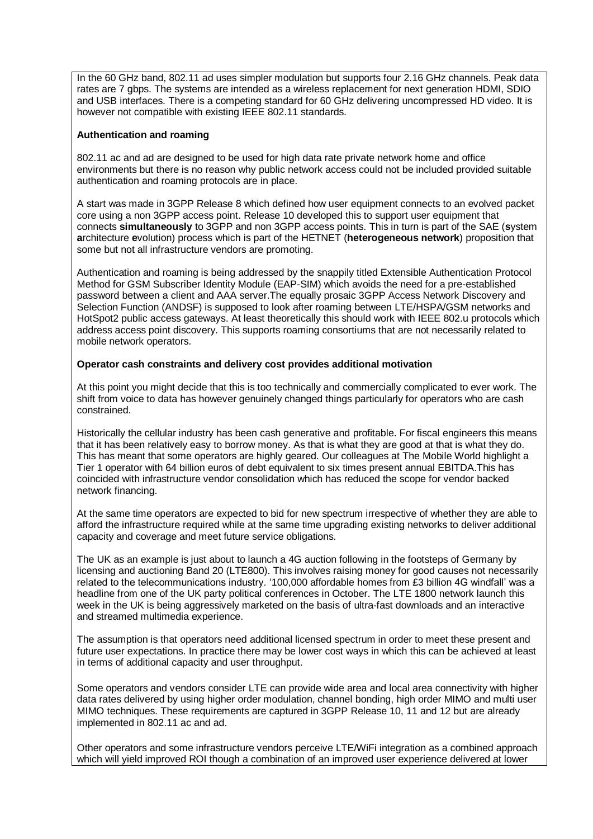In the 60 GHz band, 802.11 ad uses simpler modulation but supports four 2.16 GHz channels. Peak data rates are 7 gbps. The systems are intended as a wireless replacement for next generation HDMI, SDIO and USB interfaces. There is a competing standard for 60 GHz delivering uncompressed HD video. It is however not compatible with existing IEEE 802.11 standards.

### **Authentication and roaming**

802.11 ac and ad are designed to be used for high data rate private network home and office environments but there is no reason why public network access could not be included provided suitable authentication and roaming protocols are in place.

A start was made in 3GPP Release 8 which defined how user equipment connects to an evolved packet core using a non 3GPP access point. Release 10 developed this to support user equipment that connects **simultaneously** to 3GPP and non 3GPP access points. This in turn is part of the SAE (**s**ystem **a**rchitecture **e**volution) process which is part of the HETNET (**heterogeneous network**) proposition that some but not all infrastructure vendors are promoting.

Authentication and roaming is being addressed by the snappily titled Extensible Authentication Protocol Method for GSM Subscriber Identity Module (EAP-SIM) which avoids the need for a pre-established password between a client and AAA server.The equally prosaic 3GPP Access Network Discovery and Selection Function (ANDSF) is supposed to look after roaming between LTE/HSPA/GSM networks and HotSpot2 public access gateways. At least theoretically this should work with IEEE 802.u protocols which address access point discovery. This supports roaming consortiums that are not necessarily related to mobile network operators.

#### **Operator cash constraints and delivery cost provides additional motivation**

At this point you might decide that this is too technically and commercially complicated to ever work. The shift from voice to data has however genuinely changed things particularly for operators who are cash constrained.

Historically the cellular industry has been cash generative and profitable. For fiscal engineers this means that it has been relatively easy to borrow money. As that is what they are good at that is what they do. This has meant that some operators are highly geared. Our colleagues at The Mobile World highlight a Tier 1 operator with 64 billion euros of debt equivalent to six times present annual EBITDA.This has coincided with infrastructure vendor consolidation which has reduced the scope for vendor backed network financing.

At the same time operators are expected to bid for new spectrum irrespective of whether they are able to afford the infrastructure required while at the same time upgrading existing networks to deliver additional capacity and coverage and meet future service obligations.

The UK as an example is just about to launch a 4G auction following in the footsteps of Germany by licensing and auctioning Band 20 (LTE800). This involves raising money for good causes not necessarily related to the telecommunications industry. '100,000 affordable homes from £3 billion 4G windfall' was a headline from one of the UK party political conferences in October. The LTE 1800 network launch this week in the UK is being aggressively marketed on the basis of ultra-fast downloads and an interactive and streamed multimedia experience.

The assumption is that operators need additional licensed spectrum in order to meet these present and future user expectations. In practice there may be lower cost ways in which this can be achieved at least in terms of additional capacity and user throughput.

Some operators and vendors consider LTE can provide wide area and local area connectivity with higher data rates delivered by using higher order modulation, channel bonding, high order MIMO and multi user MIMO techniques. These requirements are captured in 3GPP Release 10, 11 and 12 but are already implemented in 802.11 ac and ad.

Other operators and some infrastructure vendors perceive LTE/WiFi integration as a combined approach which will yield improved ROI though a combination of an improved user experience delivered at lower